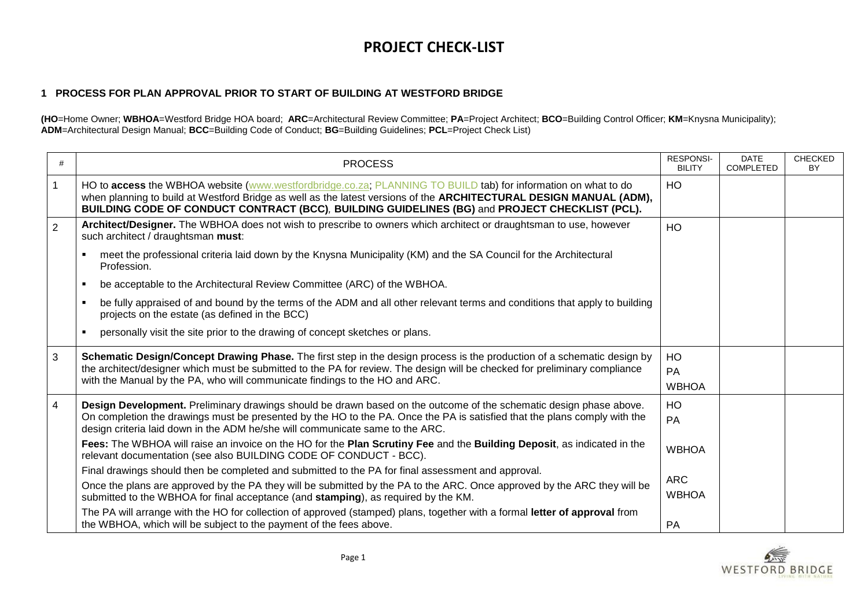# **PROJECT CHECK-LIST**

#### **1 PROCESS FOR PLAN APPROVAL PRIOR TO START OF BUILDING AT WESTFORD BRIDGE**

**(HO**=Home Owner; **WBHOA**=Westford Bridge HOA board; **ARC**=Architectural Review Committee; **PA**=Project Architect; **BCO**=Building Control Officer; **KM**=Knysna Municipality); **ADM**=Architectural Design Manual; **BCC**=Building Code of Conduct; **BG**=Building Guidelines; **PCL**=Project Check List)

| #              | <b>PROCESS</b>                                                                                                                                                                                                                                                                                                                         | <b>RESPONSI-</b><br><b>BILITY</b> | <b>DATE</b><br><b>COMPLETED</b> | <b>CHECKED</b><br><b>BY</b> |
|----------------|----------------------------------------------------------------------------------------------------------------------------------------------------------------------------------------------------------------------------------------------------------------------------------------------------------------------------------------|-----------------------------------|---------------------------------|-----------------------------|
|                | HO to access the WBHOA website (www.westfordbridge.co.za; PLANNING TO BUILD tab) for information on what to do<br>when planning to build at Westford Bridge as well as the latest versions of the ARCHITECTURAL DESIGN MANUAL (ADM),<br>BUILDING CODE OF CONDUCT CONTRACT (BCC), BUILDING GUIDELINES (BG) and PROJECT CHECKLIST (PCL). | HO                                |                                 |                             |
| $\overline{2}$ | Architect/Designer. The WBHOA does not wish to prescribe to owners which architect or draughtsman to use, however<br>such architect / draughtsman must:                                                                                                                                                                                | HO                                |                                 |                             |
|                | meet the professional criteria laid down by the Knysna Municipality (KM) and the SA Council for the Architectural<br>Profession.                                                                                                                                                                                                       |                                   |                                 |                             |
|                | be acceptable to the Architectural Review Committee (ARC) of the WBHOA.                                                                                                                                                                                                                                                                |                                   |                                 |                             |
|                | be fully appraised of and bound by the terms of the ADM and all other relevant terms and conditions that apply to building<br>projects on the estate (as defined in the BCC)                                                                                                                                                           |                                   |                                 |                             |
|                | personally visit the site prior to the drawing of concept sketches or plans.                                                                                                                                                                                                                                                           |                                   |                                 |                             |
| 3              | Schematic Design/Concept Drawing Phase. The first step in the design process is the production of a schematic design by<br>the architect/designer which must be submitted to the PA for review. The design will be checked for preliminary compliance<br>with the Manual by the PA, who will communicate findings to the HO and ARC.   | HO<br>PA<br><b>WBHOA</b>          |                                 |                             |
| $\overline{4}$ | Design Development. Preliminary drawings should be drawn based on the outcome of the schematic design phase above.<br>On completion the drawings must be presented by the HO to the PA. Once the PA is satisfied that the plans comply with the<br>design criteria laid down in the ADM he/she will communicate same to the ARC.       | HO<br>PA                          |                                 |                             |
|                | Fees: The WBHOA will raise an invoice on the HO for the Plan Scrutiny Fee and the Building Deposit, as indicated in the<br>relevant documentation (see also BUILDING CODE OF CONDUCT - BCC).                                                                                                                                           | <b>WBHOA</b>                      |                                 |                             |
|                | Final drawings should then be completed and submitted to the PA for final assessment and approval.                                                                                                                                                                                                                                     |                                   |                                 |                             |
|                | Once the plans are approved by the PA they will be submitted by the PA to the ARC. Once approved by the ARC they will be<br>submitted to the WBHOA for final acceptance (and stamping), as required by the KM.                                                                                                                         | <b>ARC</b><br><b>WBHOA</b>        |                                 |                             |
|                | The PA will arrange with the HO for collection of approved (stamped) plans, together with a formal letter of approval from<br>the WBHOA, which will be subject to the payment of the fees above.                                                                                                                                       | PA                                |                                 |                             |

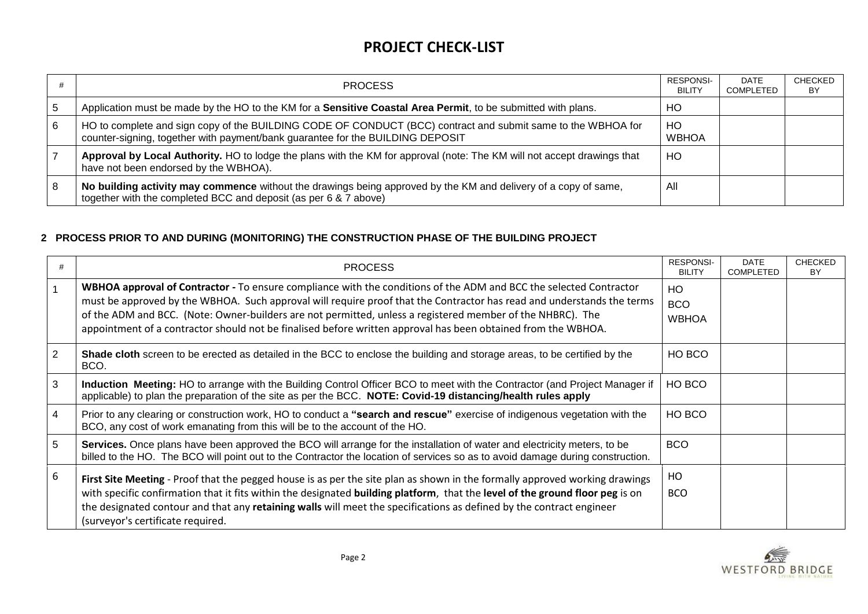## **PROJECT CHECK-LIST**

|   | <b>PROCESS</b>                                                                                                                                                                                 | <b>RESPONSI-</b><br><b>BILITY</b> | DATE<br>COMPLETED | <b>CHECKED</b><br>BY |
|---|------------------------------------------------------------------------------------------------------------------------------------------------------------------------------------------------|-----------------------------------|-------------------|----------------------|
|   | Application must be made by the HO to the KM for a <b>Sensitive Coastal Area Permit</b> , to be submitted with plans.                                                                          | HО                                |                   |                      |
| 6 | HO to complete and sign copy of the BUILDING CODE OF CONDUCT (BCC) contract and submit same to the WBHOA for<br>counter-signing, together with payment/bank guarantee for the BUILDING DEPOSIT | HO<br><b>WBHOA</b>                |                   |                      |
|   | Approval by Local Authority. HO to lodge the plans with the KM for approval (note: The KM will not accept drawings that<br>have not been endorsed by the WBHOA).                               | HO                                |                   |                      |
|   | No building activity may commence without the drawings being approved by the KM and delivery of a copy of same,<br>together with the completed BCC and deposit (as per 6 & 7 above)            | All                               |                   |                      |

### **2 PROCESS PRIOR TO AND DURING (MONITORING) THE CONSTRUCTION PHASE OF THE BUILDING PROJECT**

|   | <b>PROCESS</b>                                                                                                                                                                                                                                                                                                                                                                                                                                                              | <b>RESPONSI-</b><br><b>BILITY</b> | <b>DATE</b><br><b>COMPLETED</b> | <b>CHECKED</b><br>BY. |
|---|-----------------------------------------------------------------------------------------------------------------------------------------------------------------------------------------------------------------------------------------------------------------------------------------------------------------------------------------------------------------------------------------------------------------------------------------------------------------------------|-----------------------------------|---------------------------------|-----------------------|
|   | WBHOA approval of Contractor - To ensure compliance with the conditions of the ADM and BCC the selected Contractor<br>must be approved by the WBHOA. Such approval will require proof that the Contractor has read and understands the terms<br>of the ADM and BCC. (Note: Owner-builders are not permitted, unless a registered member of the NHBRC). The<br>appointment of a contractor should not be finalised before written approval has been obtained from the WBHOA. | HO.<br><b>BCO</b><br><b>WBHOA</b> |                                 |                       |
| 2 | Shade cloth screen to be erected as detailed in the BCC to enclose the building and storage areas, to be certified by the<br>BCO.                                                                                                                                                                                                                                                                                                                                           | HO BCO                            |                                 |                       |
| 3 | Induction Meeting: HO to arrange with the Building Control Officer BCO to meet with the Contractor (and Project Manager if<br>applicable) to plan the preparation of the site as per the BCC. NOTE: Covid-19 distancing/health rules apply                                                                                                                                                                                                                                  | HO BCO                            |                                 |                       |
| 4 | Prior to any clearing or construction work, HO to conduct a "search and rescue" exercise of indigenous vegetation with the<br>BCO, any cost of work emanating from this will be to the account of the HO.                                                                                                                                                                                                                                                                   | HO BCO                            |                                 |                       |
| 5 | Services. Once plans have been approved the BCO will arrange for the installation of water and electricity meters, to be<br>billed to the HO. The BCO will point out to the Contractor the location of services so as to avoid damage during construction.                                                                                                                                                                                                                  | BCO                               |                                 |                       |
| 6 | First Site Meeting - Proof that the pegged house is as per the site plan as shown in the formally approved working drawings<br>with specific confirmation that it fits within the designated building platform, that the level of the ground floor peg is on<br>the designated contour and that any retaining walls will meet the specifications as defined by the contract engineer<br>(surveyor's certificate required.                                                   | HO<br>BCO.                        |                                 |                       |